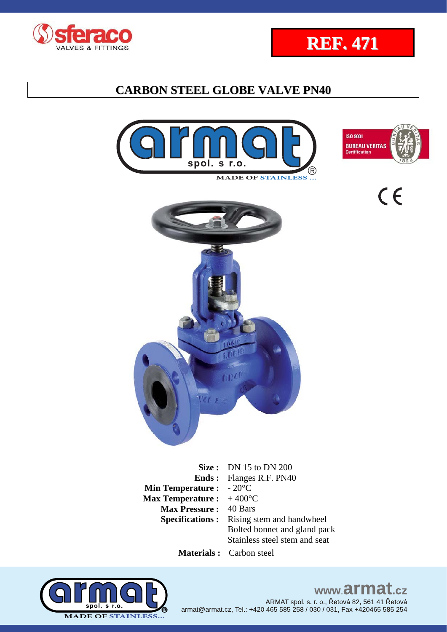







 $C \in$ 



**Size :** DN 15 to DN 200 **Ends :**  Flanges R.F. PN40 **Min Temperature : Max Temperature :**  - 20°C  $+$  400 $^{\circ}$ C **Max Pressure :** 40 Bars **Specifications :** Rising stem and handwheel Bolted bonnet and gland pack Stainless steel stem and seat

 **Materials :** Carbon steel



### www.armat.cz ARMAT spol. s. r. o., Řetová 82, 561 41 Řetová

armat@armat.cz, Tel.: +420 465 585 258 / 030 / 031, Fax +420465 585 254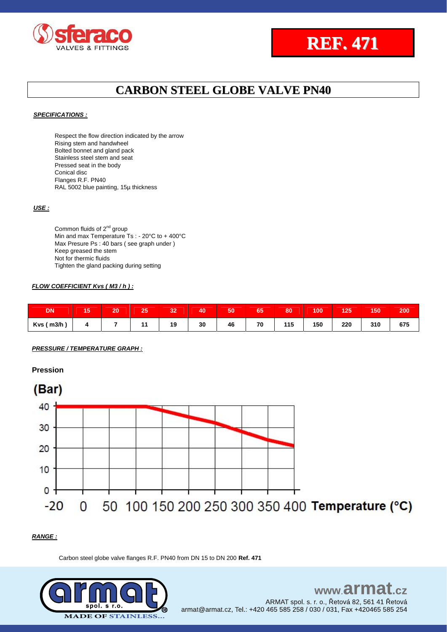



#### *SPECIFICATIONS :*

Respect the flow direction indicated by the arrow Rising stem and handwheel Bolted bonnet and gland pack Stainless steel stem and seat Pressed seat in the body Conical disc Flanges R.F. PN40 RAL 5002 blue painting, 15µ thickness

#### *USE :*

Common fluids of 2<sup>nd</sup> group Min and max Temperature Ts : - 20°C to + 400°C Max Presure Ps : 40 bars ( see graph under ) Keep greased the stem Not for thermic fluids Tighten the gland packing during setting

#### *FLOW COEFFICIENT Kvs ( M3 / h ) :*

| <b>DN</b>     | 15 | 20 | 25 | 32 | 40 | 50 | 65 | 80  | 100 | 125 | 150 | 200 |
|---------------|----|----|----|----|----|----|----|-----|-----|-----|-----|-----|
| $Kvs$ ( m3/h) |    |    |    | 19 | 30 | 46 | 70 | 115 | 150 | 220 | 310 | 675 |

*PRESSURE / TEMPERATURE GRAPH :*

**Pression**



#### *RANGE :*

Carbon steel globe valve flanges R.F. PN40 from DN 15 to DN 200 **Ref. 471**

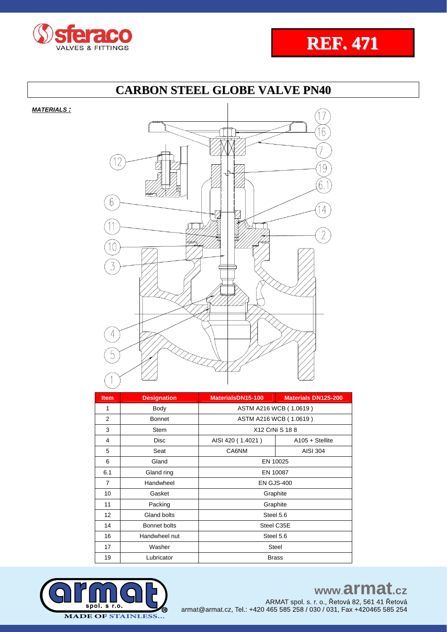



*MATERIALS :*



| <b>Item</b>    | <b>Designation</b> | MaterialsDN15-100      | <b>Materials DN125-200</b> |  |  |  |  |  |
|----------------|--------------------|------------------------|----------------------------|--|--|--|--|--|
| 1              | Body               | ASTM A216 WCB (1.0619) |                            |  |  |  |  |  |
| 2              | <b>Bonnet</b>      | ASTM A216 WCB (1.0619) |                            |  |  |  |  |  |
| 3              | Stem               | X12 CrNi S 18 8        |                            |  |  |  |  |  |
| 4              | <b>Disc</b>        | AISI 420 (1.4021)      | $A105 + S$ tellite         |  |  |  |  |  |
| 5              | Seat               | CA6NM                  | <b>AISI 304</b>            |  |  |  |  |  |
| 6              | Gland              | EN 10025               |                            |  |  |  |  |  |
| 6.1            | Gland ring         | EN 10087               |                            |  |  |  |  |  |
| $\overline{7}$ | Handwheel          | <b>EN GJS-400</b>      |                            |  |  |  |  |  |
| 10             | Gasket             | Graphite               |                            |  |  |  |  |  |
| 11             | Packing            | Graphite               |                            |  |  |  |  |  |
| 12             | Gland bolts        | Steel 5.6              |                            |  |  |  |  |  |
| 14             | Bonnet bolts       | Steel C35E             |                            |  |  |  |  |  |
| 16             | Handwheel nut      | Steel 5.6              |                            |  |  |  |  |  |
| 17             | Washer             | <b>Steel</b>           |                            |  |  |  |  |  |
| 19             | Lubricator         | <b>Brass</b>           |                            |  |  |  |  |  |



www.armat.cz

ARMAT spol. s. r. o., Řetová 82, 561 41 Řetová<br>armat@armat.cz, Tel.: +420 465 585 258 / 030 / 031, Fax +420465 585 254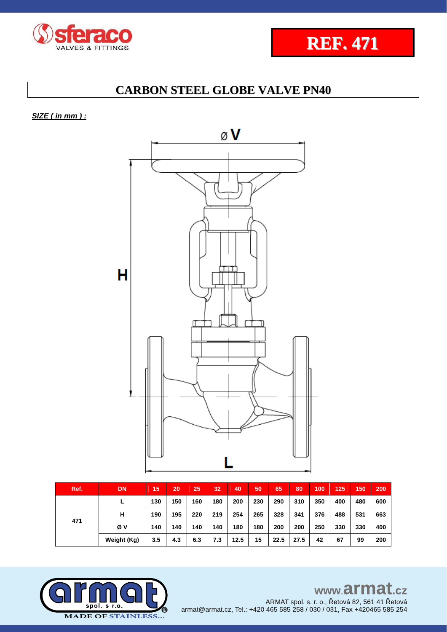



*SIZE ( in mm ) :* 



| Ref. | <b>DN</b>   | 15  | 20  | 25  | 32  | 40   | 50  | 65   | 80   | 100 | 125 | 150 | 200 |
|------|-------------|-----|-----|-----|-----|------|-----|------|------|-----|-----|-----|-----|
|      |             | 130 | 150 | 160 | 180 | 200  | 230 | 290  | 310  | 350 | 400 | 480 | 600 |
|      | н           | 190 | 195 | 220 | 219 | 254  | 265 | 328  | 341  | 376 | 488 | 531 | 663 |
| 471  | Øν          | 140 | 140 | 140 | 140 | 180  | 180 | 200  | 200  | 250 | 330 | 330 | 400 |
|      | Weight (Kg) | 3.5 | 4.3 | 6.3 | 7.3 | 12.5 | 15  | 22.5 | 27.5 | 42  | 67  | 99  | 200 |

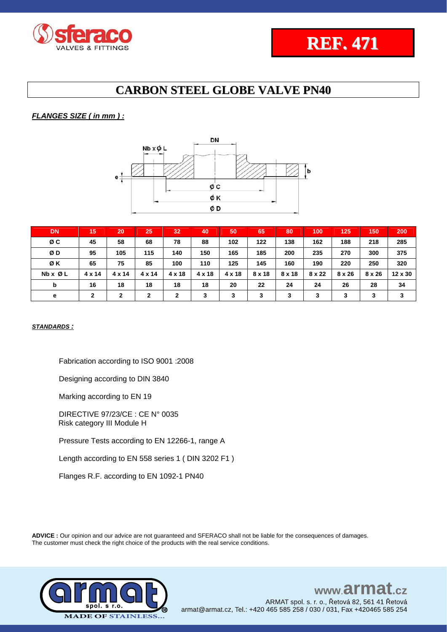

### *FLANGES SIZE ( in mm ) :*



| <b>DN</b> | 15     | 20     | 25           | 32            | 40            | 50     | 65     | 80     | 100    | 125    | 150           | 200     |
|-----------|--------|--------|--------------|---------------|---------------|--------|--------|--------|--------|--------|---------------|---------|
| ØC        | 45     | 58     | 68           | 78            | 88            | 102    | 122    | 138    | 162    | 188    | 218           | 285     |
| ØD        | 95     | 105    | 115          | 140           | 150           | 165    | 185    | 200    | 235    | 270    | 300           | 375     |
| ØΚ        | 65     | 75     | 85           | 100           | 110           | 125    | 145    | 160    | 190    | 220    | 250           | 320     |
| Nb x Ø L  | 4 x 14 | 4 x 14 | 4 x 14       | $4 \times 18$ | $4 \times 18$ | 4 x 18 | 8 x 18 | 8 x 18 | 8 x 22 | 8 x 26 | $8 \times 26$ | 12 x 30 |
| b         | 16     | 18     | 18           | 18            | 18            | 20     | 22     | 24     | 24     | 26     | 28            | 34      |
| е         | 2      | 2      | $\mathbf{2}$ | 2             | 3             | 3      | 3      | 3      | 3      | 3      | 3             | 3       |

#### *STANDARDS :*

Fabrication according to ISO 9001 :2008

Designing according to DIN 3840

Marking according to EN 19

DIRECTIVE 97/23/CE : CE N° 0035 Risk category III Module H

Pressure Tests according to EN 12266-1, range A

Length according to EN 558 series 1 ( DIN 3202 F1 )

Flanges R.F. according to EN 1092-1 PN40

**ADVICE :** Our opinion and our advice are not guaranteed and SFERACO shall not be liable for the consequences of damages. The customer must check the right choice of the products with the real service conditions.



#### www.armat  $c\overline{z}$ ARMAT spol. s. r. o., Řetová 82, 561 41 Řetová armat@armat.cz, Tel.: +420 465 585 258 / 030 / 031, Fax +420465 585 254